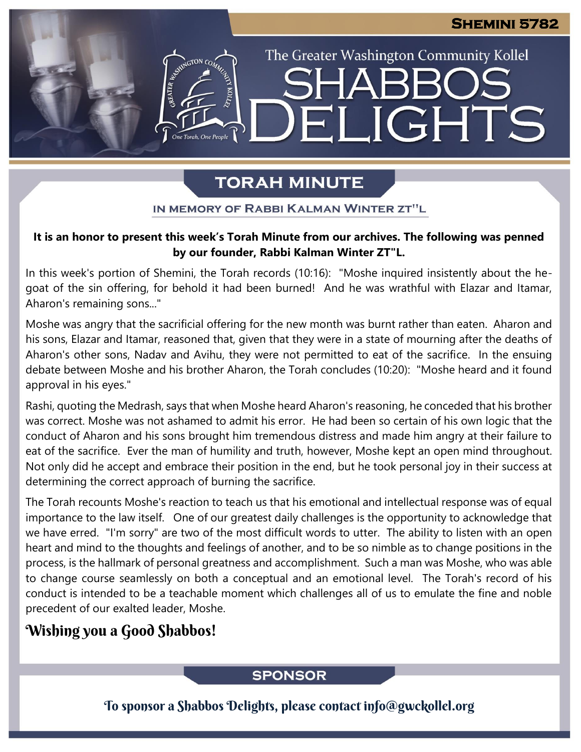The Greater Washington Community Kollel

ELIGHTS

# **TORAH MINUTE**

IN MEMORY OF RABBI KALMAN WINTER ZT"L

## It is an honor to present this week's Torah Minute from our archives. The following was penned<br>by our founder, Rabbi Kalman Winter 7T"I **by our founder, Rabbi Kalman Winter ZT"L.**

In this week's portion of Shemini, the Torah records (10:16): "Moshe inquired insistently about the hegoat of the sin offering, for behold it had been burned! And he was wrathful with Elazar and Itamar, Aharon's remaining sons..."

Moshe was angry that the sacrificial offering for the new month was burnt rather than eaten. Aharon and his sons, Elazar and Itamar, reasoned that, given that they were in a state of mourning after the deaths of Aharon's other sons, Nadav and Avihu, they were not permitted to eat of the sacrifice. In the ensuing debate between Moshe and his brother Aharon, the Torah concludes (10:20): "Moshe heard and it found approval in his eyes."

Rashi, quoting the Medrash, says that when Moshe heard Aharon's reasoning, he conceded that his brother was correct. Moshe was not ashamed to admit his error. He had been so certain of his own logic that the conduct of Aharon and his sons brought him tremendous distress and made him angry at their failure to eat of the sacrifice. Ever the man of humility and truth, however, Moshe kept an open mind throughout. Not only did he accept and embrace their position in the end, but he took personal joy in their success at determining the correct approach of burning the sacrifice.

The Torah recounts Moshe's reaction to teach us that his emotional and intellectual response was of equal importance to the law itself. One of our greatest daily challenges is the opportunity to acknowledge that we have erred. "I'm sorry" are two of the most difficult words to utter. The ability to listen with an open heart and mind to the thoughts and feelings of another, and to be so nimble as to change positions in the process, is the hallmark of personal greatness and accomplishment. Such a man was Moshe, who was able to change course seamlessly on both a conceptual and an emotional level. The Torah's record of his conduct is intended to be a teachable moment which challenges all of us to emulate the fine and noble precedent of our exalted leader, Moshe.

# Wishing you a Good Shabbos!

## **SPONSOR**

To sponsor a Shabbos Delights, please contact info@gwckollel.org